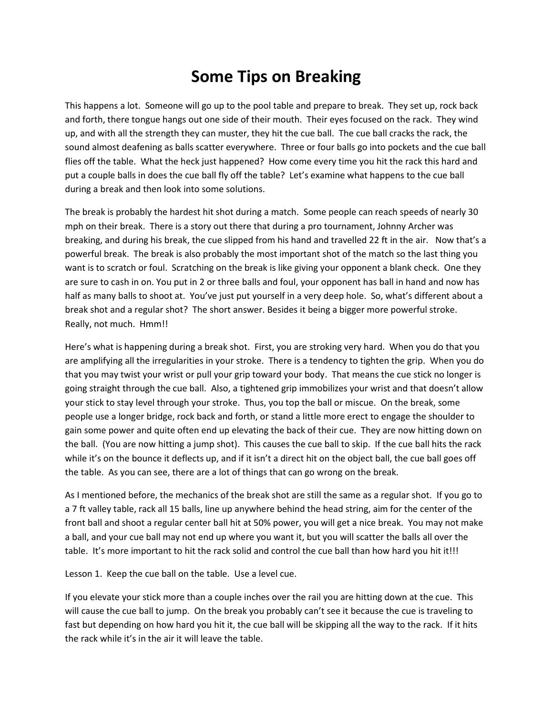## **Some Tips on Breaking**

This happens a lot. Someone will go up to the pool table and prepare to break. They set up, rock back and forth, there tongue hangs out one side of their mouth. Their eyes focused on the rack. They wind up, and with all the strength they can muster, they hit the cue ball. The cue ball cracks the rack, the sound almost deafening as balls scatter everywhere. Three or four balls go into pockets and the cue ball flies off the table. What the heck just happened? How come every time you hit the rack this hard and put a couple balls in does the cue ball fly off the table? Let's examine what happens to the cue ball during a break and then look into some solutions.

The break is probably the hardest hit shot during a match. Some people can reach speeds of nearly 30 mph on their break. There is a story out there that during a pro tournament, Johnny Archer was breaking, and during his break, the cue slipped from his hand and travelled 22 ft in the air. Now that's a powerful break. The break is also probably the most important shot of the match so the last thing you want is to scratch or foul. Scratching on the break is like giving your opponent a blank check. One they are sure to cash in on. You put in 2 or three balls and foul, your opponent has ball in hand and now has half as many balls to shoot at. You've just put yourself in a very deep hole. So, what's different about a break shot and a regular shot? The short answer. Besides it being a bigger more powerful stroke. Really, not much. Hmm!!

Here's what is happening during a break shot. First, you are stroking very hard. When you do that you are amplifying all the irregularities in your stroke. There is a tendency to tighten the grip. When you do that you may twist your wrist or pull your grip toward your body. That means the cue stick no longer is going straight through the cue ball. Also, a tightened grip immobilizes your wrist and that doesn't allow your stick to stay level through your stroke. Thus, you top the ball or miscue. On the break, some people use a longer bridge, rock back and forth, or stand a little more erect to engage the shoulder to gain some power and quite often end up elevating the back of their cue. They are now hitting down on the ball. (You are now hitting a jump shot). This causes the cue ball to skip. If the cue ball hits the rack while it's on the bounce it deflects up, and if it isn't a direct hit on the object ball, the cue ball goes off the table. As you can see, there are a lot of things that can go wrong on the break.

As I mentioned before, the mechanics of the break shot are still the same as a regular shot. If you go to a 7 ft valley table, rack all 15 balls, line up anywhere behind the head string, aim for the center of the front ball and shoot a regular center ball hit at 50% power, you will get a nice break. You may not make a ball, and your cue ball may not end up where you want it, but you will scatter the balls all over the table. It's more important to hit the rack solid and control the cue ball than how hard you hit it!!!

Lesson 1. Keep the cue ball on the table. Use a level cue.

If you elevate your stick more than a couple inches over the rail you are hitting down at the cue. This will cause the cue ball to jump. On the break you probably can't see it because the cue is traveling to fast but depending on how hard you hit it, the cue ball will be skipping all the way to the rack. If it hits the rack while it's in the air it will leave the table.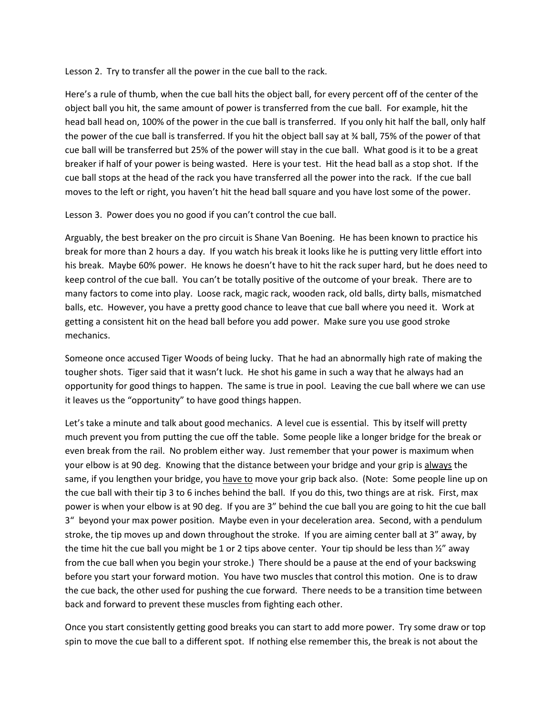Lesson 2. Try to transfer all the power in the cue ball to the rack.

Here's a rule of thumb, when the cue ball hits the object ball, for every percent off of the center of the object ball you hit, the same amount of power is transferred from the cue ball. For example, hit the head ball head on, 100% of the power in the cue ball is transferred. If you only hit half the ball, only half the power of the cue ball is transferred. If you hit the object ball say at ¾ ball, 75% of the power of that cue ball will be transferred but 25% of the power will stay in the cue ball. What good is it to be a great breaker if half of your power is being wasted. Here is your test. Hit the head ball as a stop shot. If the cue ball stops at the head of the rack you have transferred all the power into the rack. If the cue ball moves to the left or right, you haven't hit the head ball square and you have lost some of the power.

Lesson 3. Power does you no good if you can't control the cue ball.

Arguably, the best breaker on the pro circuit is Shane Van Boening. He has been known to practice his break for more than 2 hours a day. If you watch his break it looks like he is putting very little effort into his break. Maybe 60% power. He knows he doesn't have to hit the rack super hard, but he does need to keep control of the cue ball. You can't be totally positive of the outcome of your break. There are to many factors to come into play. Loose rack, magic rack, wooden rack, old balls, dirty balls, mismatched balls, etc. However, you have a pretty good chance to leave that cue ball where you need it. Work at getting a consistent hit on the head ball before you add power. Make sure you use good stroke mechanics.

Someone once accused Tiger Woods of being lucky. That he had an abnormally high rate of making the tougher shots. Tiger said that it wasn't luck. He shot his game in such a way that he always had an opportunity for good things to happen. The same is true in pool. Leaving the cue ball where we can use it leaves us the "opportunity" to have good things happen.

Let's take a minute and talk about good mechanics. A level cue is essential. This by itself will pretty much prevent you from putting the cue off the table. Some people like a longer bridge for the break or even break from the rail. No problem either way. Just remember that your power is maximum when your elbow is at 90 deg. Knowing that the distance between your bridge and your grip is always the same, if you lengthen your bridge, you have to move your grip back also. (Note: Some people line up on the cue ball with their tip 3 to 6 inches behind the ball. If you do this, two things are at risk. First, max power is when your elbow is at 90 deg. If you are 3" behind the cue ball you are going to hit the cue ball 3" beyond your max power position. Maybe even in your deceleration area. Second, with a pendulum stroke, the tip moves up and down throughout the stroke. If you are aiming center ball at 3" away, by the time hit the cue ball you might be 1 or 2 tips above center. Your tip should be less than  $\frac{1}{2}$ " away from the cue ball when you begin your stroke.) There should be a pause at the end of your backswing before you start your forward motion. You have two muscles that control this motion. One is to draw the cue back, the other used for pushing the cue forward. There needs to be a transition time between back and forward to prevent these muscles from fighting each other.

Once you start consistently getting good breaks you can start to add more power. Try some draw or top spin to move the cue ball to a different spot. If nothing else remember this, the break is not about the